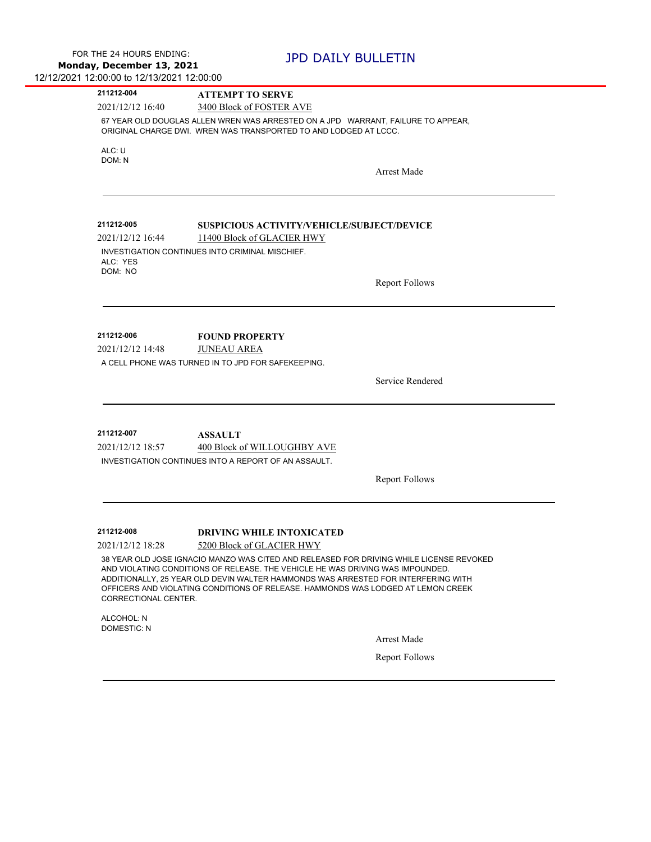| 211212-004                     | <b>ATTEMPT TO SERVE</b>                                                                                                                                                                                                                                                                                                                            |  |
|--------------------------------|----------------------------------------------------------------------------------------------------------------------------------------------------------------------------------------------------------------------------------------------------------------------------------------------------------------------------------------------------|--|
| 2021/12/12 16:40               | 3400 Block of FOSTER AVE                                                                                                                                                                                                                                                                                                                           |  |
|                                | 67 YEAR OLD DOUGLAS ALLEN WREN WAS ARRESTED ON A JPD WARRANT, FAILURE TO APPEAR,<br>ORIGINAL CHARGE DWI. WREN WAS TRANSPORTED TO AND LODGED AT LCCC.                                                                                                                                                                                               |  |
| ALC: U                         |                                                                                                                                                                                                                                                                                                                                                    |  |
| DOM: N                         |                                                                                                                                                                                                                                                                                                                                                    |  |
|                                | <b>Arrest Made</b>                                                                                                                                                                                                                                                                                                                                 |  |
|                                |                                                                                                                                                                                                                                                                                                                                                    |  |
| 211212-005                     | <b>SUSPICIOUS ACTIVITY/VEHICLE/SUBJECT/DEVICE</b>                                                                                                                                                                                                                                                                                                  |  |
| 2021/12/12 16:44               | 11400 Block of GLACIER HWY                                                                                                                                                                                                                                                                                                                         |  |
| ALC: YES                       | INVESTIGATION CONTINUES INTO CRIMINAL MISCHIEF.                                                                                                                                                                                                                                                                                                    |  |
| DOM: NO                        | <b>Report Follows</b>                                                                                                                                                                                                                                                                                                                              |  |
| 211212-006<br>2021/12/12 14:48 | <b>FOUND PROPERTY</b><br><b>JUNEAU AREA</b>                                                                                                                                                                                                                                                                                                        |  |
|                                | A CELL PHONE WAS TURNED IN TO JPD FOR SAFEKEEPING.                                                                                                                                                                                                                                                                                                 |  |
|                                |                                                                                                                                                                                                                                                                                                                                                    |  |
|                                | Service Rendered                                                                                                                                                                                                                                                                                                                                   |  |
|                                |                                                                                                                                                                                                                                                                                                                                                    |  |
| 211212-007                     | <b>ASSAULT</b>                                                                                                                                                                                                                                                                                                                                     |  |
| 2021/12/12 18:57               | 400 Block of WILLOUGHBY AVE                                                                                                                                                                                                                                                                                                                        |  |
|                                | INVESTIGATION CONTINUES INTO A REPORT OF AN ASSAULT.                                                                                                                                                                                                                                                                                               |  |
|                                | <b>Report Follows</b>                                                                                                                                                                                                                                                                                                                              |  |
|                                |                                                                                                                                                                                                                                                                                                                                                    |  |
|                                |                                                                                                                                                                                                                                                                                                                                                    |  |
|                                |                                                                                                                                                                                                                                                                                                                                                    |  |
| 211212-008                     | <b>DRIVING WHILE INTOXICATED</b>                                                                                                                                                                                                                                                                                                                   |  |
| 2021/12/12 18:28               | 5200 Block of GLACIER HWY                                                                                                                                                                                                                                                                                                                          |  |
| CORRECTIONAL CENTER.           | 38 YEAR OLD JOSE IGNACIO MANZO WAS CITED AND RELEASED FOR DRIVING WHILE LICENSE REVOKED<br>AND VIOLATING CONDITIONS OF RELEASE. THE VEHICLE HE WAS DRIVING WAS IMPOUNDED.<br>ADDITIONALLY, 25 YEAR OLD DEVIN WALTER HAMMONDS WAS ARRESTED FOR INTERFERING WITH<br>OFFICERS AND VIOLATING CONDITIONS OF RELEASE. HAMMONDS WAS LODGED AT LEMON CREEK |  |
| ALCOHOL: N                     |                                                                                                                                                                                                                                                                                                                                                    |  |
| <b>DOMESTIC: N</b>             |                                                                                                                                                                                                                                                                                                                                                    |  |
|                                | Arrest Made<br><b>Report Follows</b>                                                                                                                                                                                                                                                                                                               |  |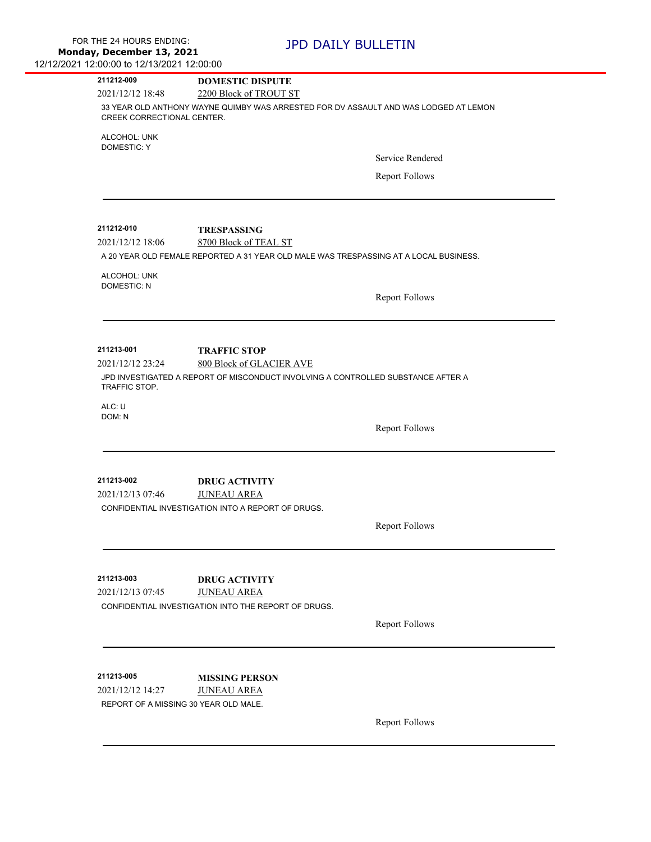| 211212-009                                                                                                         | <b>DOMESTIC DISPUTE</b>                                                               |                       |  |  |
|--------------------------------------------------------------------------------------------------------------------|---------------------------------------------------------------------------------------|-----------------------|--|--|
| 2021/12/12 18:48                                                                                                   | 2200 Block of TROUT ST                                                                |                       |  |  |
| 33 YEAR OLD ANTHONY WAYNE QUIMBY WAS ARRESTED FOR DV ASSAULT AND WAS LODGED AT LEMON<br>CREEK CORRECTIONAL CENTER. |                                                                                       |                       |  |  |
| ALCOHOL: UNK<br><b>DOMESTIC: Y</b>                                                                                 |                                                                                       |                       |  |  |
|                                                                                                                    |                                                                                       | Service Rendered      |  |  |
|                                                                                                                    |                                                                                       | <b>Report Follows</b> |  |  |
| 211212-010                                                                                                         | <b>TRESPASSING</b>                                                                    |                       |  |  |
| 2021/12/12 18:06                                                                                                   | 8700 Block of TEAL ST                                                                 |                       |  |  |
|                                                                                                                    | A 20 YEAR OLD FEMALE REPORTED A 31 YEAR OLD MALE WAS TRESPASSING AT A LOCAL BUSINESS. |                       |  |  |
| ALCOHOL: UNK<br><b>DOMESTIC: N</b>                                                                                 |                                                                                       |                       |  |  |
|                                                                                                                    |                                                                                       | <b>Report Follows</b> |  |  |
|                                                                                                                    |                                                                                       |                       |  |  |
| 211213-001<br>2021/12/12 23:24                                                                                     | <b>TRAFFIC STOP</b><br>800 Block of GLACIER AVE                                       |                       |  |  |
| TRAFFIC STOP.                                                                                                      | JPD INVESTIGATED A REPORT OF MISCONDUCT INVOLVING A CONTROLLED SUBSTANCE AFTER A      |                       |  |  |
| ALC: U                                                                                                             |                                                                                       |                       |  |  |
| DOM: N                                                                                                             |                                                                                       | <b>Report Follows</b> |  |  |
|                                                                                                                    |                                                                                       |                       |  |  |
| 211213-002                                                                                                         | <b>DRUG ACTIVITY</b>                                                                  |                       |  |  |
| 2021/12/13 07:46                                                                                                   | <b>JUNEAU AREA</b><br>CONFIDENTIAL INVESTIGATION INTO A REPORT OF DRUGS.              |                       |  |  |
|                                                                                                                    |                                                                                       |                       |  |  |
|                                                                                                                    |                                                                                       | <b>Report Follows</b> |  |  |
| 211213-003                                                                                                         | <b>DRUG ACTIVITY</b>                                                                  |                       |  |  |
| 2021/12/13 07:45                                                                                                   | <b>JUNEAU AREA</b>                                                                    |                       |  |  |
|                                                                                                                    | CONFIDENTIAL INVESTIGATION INTO THE REPORT OF DRUGS.                                  |                       |  |  |
|                                                                                                                    |                                                                                       | <b>Report Follows</b> |  |  |
|                                                                                                                    |                                                                                       |                       |  |  |
| 211213-005                                                                                                         | <b>MISSING PERSON</b>                                                                 |                       |  |  |
| 2021/12/12 14:27<br>REPORT OF A MISSING 30 YEAR OLD MALE.                                                          | <b>JUNEAU AREA</b>                                                                    |                       |  |  |
|                                                                                                                    |                                                                                       | <b>Report Follows</b> |  |  |
|                                                                                                                    |                                                                                       |                       |  |  |